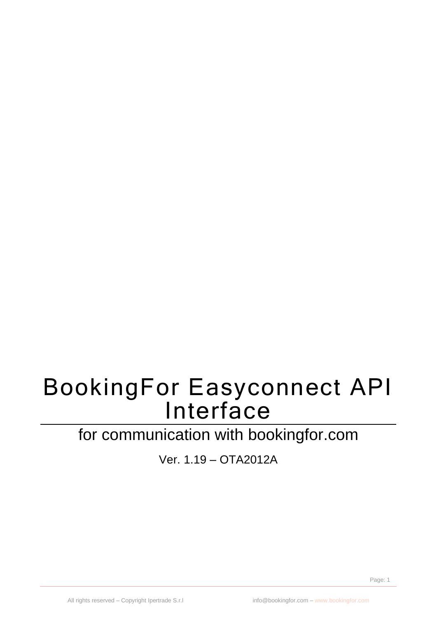# BookingFor Easyconnect API **Interface**

# for communication with bookingfor.com

Ver. 1.19 – OTA2012A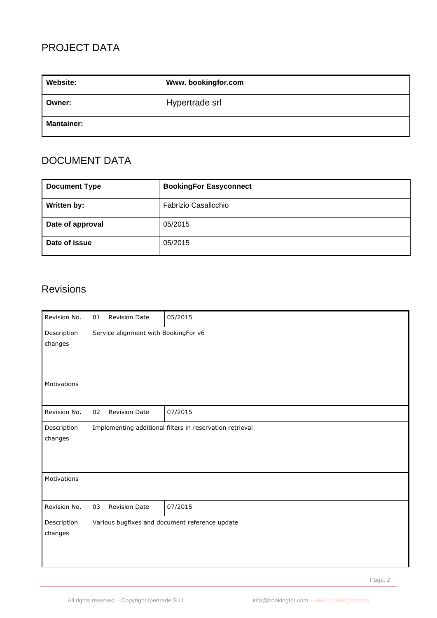### PROJECT DATA

| Website:          | Www.bookingfor.com |
|-------------------|--------------------|
| Owner:            | Hypertrade srl     |
| <b>Mantainer:</b> |                    |

## <span id="page-1-0"></span>DOCUMENT DATA

| <b>Document Type</b> | <b>BookingFor Easyconnect</b> |
|----------------------|-------------------------------|
| Written by:          | <b>Fabrizio Casalicchio</b>   |
| Date of approval     | 05/2015                       |
| Date of issue        | 05/2015                       |

## <span id="page-1-1"></span>Revisions

| Revision No.           | 01                                                       | <b>Revision Date</b> | 05/2015                                        |
|------------------------|----------------------------------------------------------|----------------------|------------------------------------------------|
| Description<br>changes | Service alignment with BookingFor v6                     |                      |                                                |
| Motivations            |                                                          |                      |                                                |
| Revision No.           | 02                                                       | <b>Revision Date</b> | 07/2015                                        |
| Description<br>changes | Implementing additional filters in reservation retrieval |                      |                                                |
| Motivations            |                                                          |                      |                                                |
| Revision No.           | 03                                                       | <b>Revision Date</b> | 07/2015                                        |
| Description<br>changes |                                                          |                      | Various bugfixes and document reference update |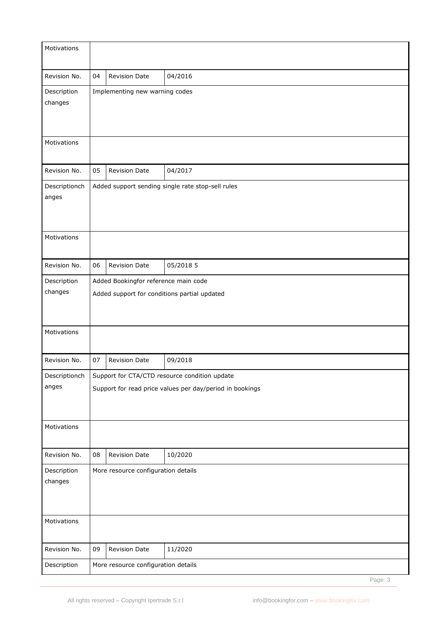| Motivations            |    |                                      |                                                                                                           |
|------------------------|----|--------------------------------------|-----------------------------------------------------------------------------------------------------------|
| Revision No.           | 04 | <b>Revision Date</b>                 | 04/2016                                                                                                   |
| Description<br>changes |    | Implementing new warning codes       |                                                                                                           |
| Motivations            |    |                                      |                                                                                                           |
| Revision No.           | 05 | <b>Revision Date</b>                 | 04/2017                                                                                                   |
| Descriptionch<br>anges |    |                                      | Added support sending single rate stop-sell rules                                                         |
| Motivations            |    |                                      |                                                                                                           |
| Revision No.           | 06 | <b>Revision Date</b>                 | 05/2018 5                                                                                                 |
| Description<br>changes |    | Added Bookingfor reference main code | Added support for conditions partial updated                                                              |
| Motivations            |    |                                      |                                                                                                           |
| Revision No.           | 07 | <b>Revision Date</b>                 | 09/2018                                                                                                   |
| Descriptionch<br>anges |    |                                      | Support for CTA/CTD resource condition update<br>Support for read price values per day/period in bookings |
| Motivations            |    |                                      |                                                                                                           |
| Revision No.           | 08 | <b>Revision Date</b>                 | 10/2020                                                                                                   |
| Description<br>changes |    | More resource configuration details  |                                                                                                           |
| Motivations            |    |                                      |                                                                                                           |
| Revision No.           | 09 | <b>Revision Date</b>                 | 11/2020                                                                                                   |
| Description            |    | More resource configuration details  |                                                                                                           |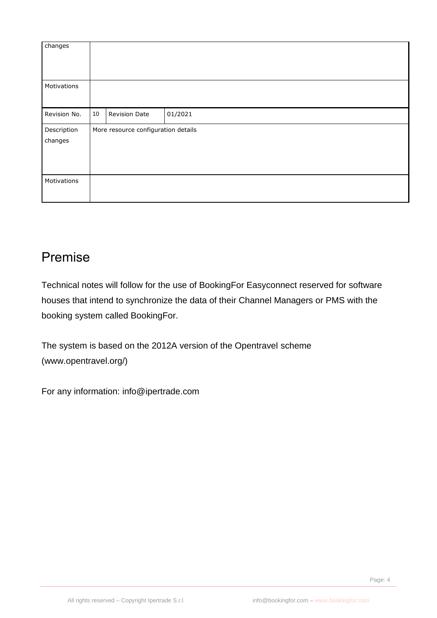| changes      |    |                                     |         |
|--------------|----|-------------------------------------|---------|
|              |    |                                     |         |
|              |    |                                     |         |
|              |    |                                     |         |
|              |    |                                     |         |
| Motivations  |    |                                     |         |
|              |    |                                     |         |
|              |    |                                     |         |
|              |    |                                     |         |
| Revision No. | 10 | Revision Date                       | 01/2021 |
|              |    |                                     |         |
| Description  |    | More resource configuration details |         |
|              |    |                                     |         |
| changes      |    |                                     |         |
|              |    |                                     |         |
|              |    |                                     |         |
|              |    |                                     |         |
|              |    |                                     |         |
| Motivations  |    |                                     |         |
|              |    |                                     |         |
|              |    |                                     |         |
|              |    |                                     |         |

# <span id="page-3-0"></span>Premise

Technical notes will follow for the use of BookingFor Easyconnect reserved for software houses that intend to synchronize the data of their Channel Managers or PMS with the booking system called BookingFor.

The system is based on the 2012A version of the Opentravel scheme (www.opentravel.org/)

For any information: info@ipertrade.com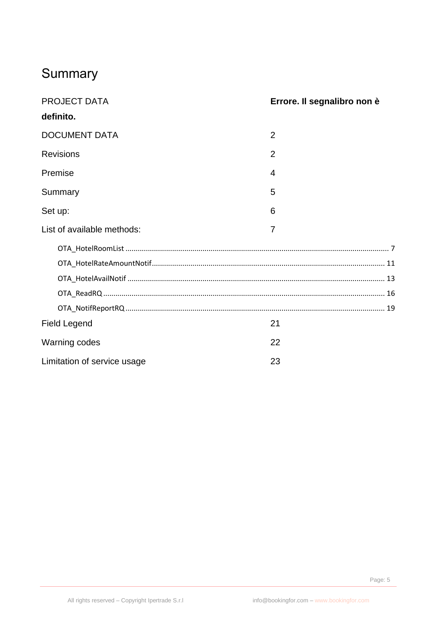# <span id="page-4-0"></span>Summary

| PROJECT DATA                | Errore. Il segnalibro non è |  |  |
|-----------------------------|-----------------------------|--|--|
| definito.                   |                             |  |  |
| <b>DOCUMENT DATA</b>        | 2                           |  |  |
| <b>Revisions</b>            | $\overline{2}$              |  |  |
| Premise                     | 4                           |  |  |
| Summary                     | 5                           |  |  |
| Set up:                     | 6                           |  |  |
| List of available methods:  | 7                           |  |  |
|                             |                             |  |  |
|                             |                             |  |  |
|                             |                             |  |  |
|                             |                             |  |  |
|                             |                             |  |  |
| <b>Field Legend</b>         | 21                          |  |  |
| <b>Warning codes</b>        | 22                          |  |  |
| Limitation of service usage | 23                          |  |  |
|                             |                             |  |  |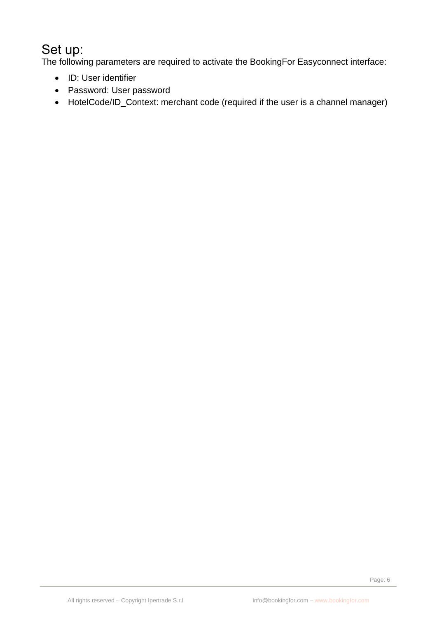# <span id="page-5-0"></span>Set up:

The following parameters are required to activate the BookingFor Easyconnect interface:

- ID: User identifier
- Password: User password
- HotelCode/ID\_Context: merchant code (required if the user is a channel manager)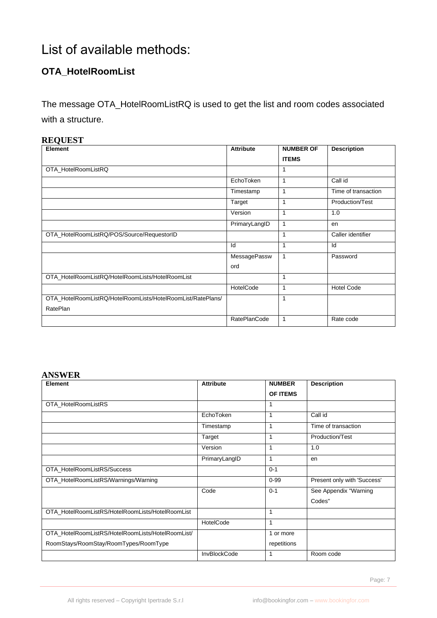# <span id="page-6-0"></span>List of available methods:

#### <span id="page-6-1"></span>**OTA\_HotelRoomList**

The message OTA\_HotelRoomListRQ is used to get the list and room codes associated with a structure.

#### **REQUEST**

| Element                                                     | <b>Attribute</b>    | <b>NUMBER OF</b> | <b>Description</b>  |
|-------------------------------------------------------------|---------------------|------------------|---------------------|
|                                                             |                     | <b>ITEMS</b>     |                     |
| OTA_HotelRoomListRQ                                         |                     |                  |                     |
|                                                             | EchoToken           | 1                | Call id             |
|                                                             | Timestamp           | 1                | Time of transaction |
|                                                             | Target              | 1                | Production/Test     |
|                                                             | Version             | 1                | 1.0                 |
|                                                             | PrimaryLangID       | 1                | en                  |
| OTA_HotelRoomListRQ/POS/Source/RequestorID                  |                     |                  | Caller identifier   |
|                                                             | Id                  | 1                | Id                  |
|                                                             | MessagePassw        | 1                | Password            |
|                                                             | ord                 |                  |                     |
| OTA_HotelRoomListRQ/HotelRoomLists/HotelRoomList            |                     | 1                |                     |
|                                                             | HotelCode           |                  | <b>Hotel Code</b>   |
| OTA_HotelRoomListRQ/HotelRoomLists/HotelRoomList/RatePlans/ |                     |                  |                     |
| RatePlan                                                    |                     |                  |                     |
|                                                             | <b>RatePlanCode</b> | 1                | Rate code           |

| Element                                           | <b>Attribute</b> | <b>NUMBER</b> | <b>Description</b>          |
|---------------------------------------------------|------------------|---------------|-----------------------------|
|                                                   |                  | OF ITEMS      |                             |
| OTA HotelRoomListRS                               |                  | 1             |                             |
|                                                   | EchoToken        | 1             | Call id                     |
|                                                   | Timestamp        | 1             | Time of transaction         |
|                                                   | Target           | $\mathbf{1}$  | Production/Test             |
|                                                   | Version          | 1             | 1.0                         |
|                                                   | PrimaryLangID    | 1             | en                          |
| OTA_HotelRoomListRS/Success                       |                  | $0 - 1$       |                             |
| OTA_HotelRoomListRS/Warnings/Warning              |                  | $0 - 99$      | Present only with 'Success' |
|                                                   | Code             | $0 - 1$       | See Appendix "Warning       |
|                                                   |                  |               | Codes"                      |
| OTA_HotelRoomListRS/HotelRoomLists/HotelRoomList  |                  | $\mathbf{1}$  |                             |
|                                                   | HotelCode        | 1             |                             |
| OTA_HotelRoomListRS/HotelRoomLists/HotelRoomList/ |                  | 1 or more     |                             |
| RoomStays/RoomStay/RoomTypes/RoomType             |                  | repetitions   |                             |
|                                                   | InvBlockCode     | 1             | Room code                   |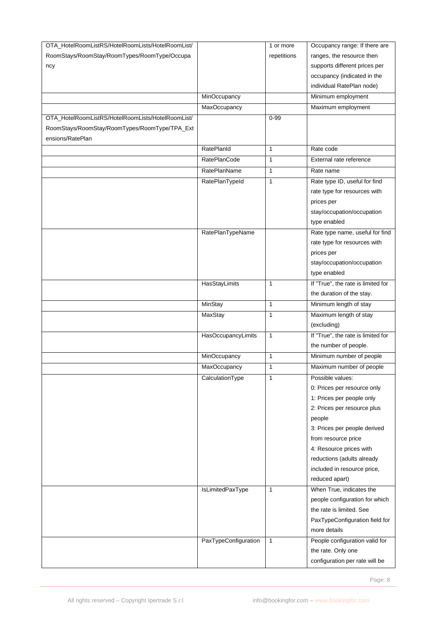| OTA_HotelRoomListRS/HotelRoomLists/HotelRoomList/ |                      | 1 or more    | Occupancy range: If there are      |
|---------------------------------------------------|----------------------|--------------|------------------------------------|
| RoomStays/RoomStay/RoomTypes/RoomType/Occupa      |                      | repetitions  | ranges, the resource then          |
| ncy                                               |                      |              | supports different prices per      |
|                                                   |                      |              | occupancy (indicated in the        |
|                                                   |                      |              | individual RatePlan node)          |
|                                                   | MinOccupancy         |              | Minimum employment                 |
|                                                   | MaxOccupancy         |              | Maximum employment                 |
| OTA_HotelRoomListRS/HotelRoomLists/HotelRoomList/ |                      | $0 - 99$     |                                    |
| RoomStays/RoomStay/RoomTypes/RoomType/TPA_Ext     |                      |              |                                    |
| ensions/RatePlan                                  |                      |              |                                    |
|                                                   | RatePlanId           | $\mathbf{1}$ | Rate code                          |
|                                                   | <b>RatePlanCode</b>  | 1            | External rate reference            |
|                                                   | <b>RatePlanName</b>  | 1            | Rate name                          |
|                                                   | RatePlanTypeId       | 1            | Rate type ID, useful for find      |
|                                                   |                      |              | rate type for resources with       |
|                                                   |                      |              | prices per                         |
|                                                   |                      |              |                                    |
|                                                   |                      |              | stay/occupation/occupation         |
|                                                   |                      |              | type enabled                       |
|                                                   | RatePlanTypeName     |              | Rate type name, useful for find    |
|                                                   |                      |              | rate type for resources with       |
|                                                   |                      |              | prices per                         |
|                                                   |                      |              | stay/occupation/occupation         |
|                                                   |                      |              | type enabled                       |
|                                                   | <b>HasStayLimits</b> | $\mathbf{1}$ | If "True", the rate is limited for |
|                                                   |                      |              | the duration of the stay.          |
|                                                   | MinStay              | 1            | Minimum length of stay             |
|                                                   | MaxStay              | 1            | Maximum length of stay             |
|                                                   |                      |              | (excluding)                        |
|                                                   | HasOccupancyLimits   | $\mathbf{1}$ | If "True", the rate is limited for |
|                                                   |                      |              | the number of people.              |
|                                                   | MinOccupancy         | $\mathbf{1}$ | Minimum number of people           |
|                                                   | <b>MaxOccupancy</b>  | $\mathbf{1}$ | Maximum number of people           |
|                                                   | CalculationType      | $\mathbf{1}$ | Possible values:                   |
|                                                   |                      |              | 0: Prices per resource only        |
|                                                   |                      |              | 1: Prices per people only          |
|                                                   |                      |              | 2: Prices per resource plus        |
|                                                   |                      |              | people                             |
|                                                   |                      |              | 3: Prices per people derived       |
|                                                   |                      |              | from resource price                |
|                                                   |                      |              | 4: Resource prices with            |
|                                                   |                      |              | reductions (adults already         |
|                                                   |                      |              | included in resource price,        |
|                                                   |                      |              | reduced apart)                     |
|                                                   | IsLimitedPaxType     | 1            | When True, indicates the           |
|                                                   |                      |              | people configuration for which     |
|                                                   |                      |              | the rate is limited. See           |
|                                                   |                      |              | PaxTypeConfiguration field for     |
|                                                   |                      |              | more details                       |
|                                                   | PaxTypeConfiguration | $\mathbf{1}$ | People configuration valid for     |
|                                                   |                      |              | the rate. Only one                 |
|                                                   |                      |              | configuration per rate will be     |
|                                                   |                      |              |                                    |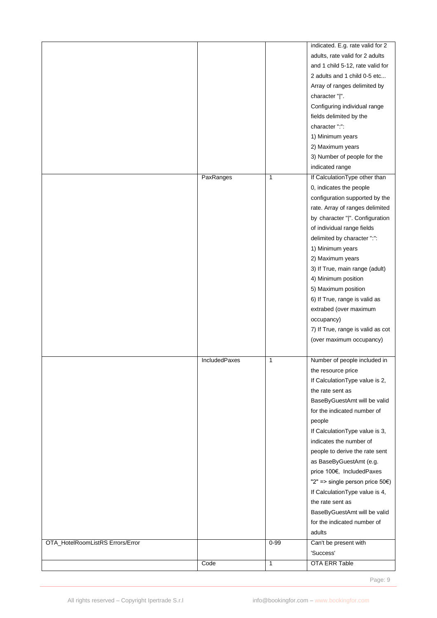|                                  |              | indicated. E.g. rate valid for 2           |
|----------------------------------|--------------|--------------------------------------------|
|                                  |              | adults, rate valid for 2 adults            |
|                                  |              | and 1 child 5-12, rate valid for           |
|                                  |              | 2 adults and 1 child 0-5 etc               |
|                                  |              | Array of ranges delimited by               |
|                                  |              | character " ".                             |
|                                  |              | Configuring individual range               |
|                                  |              | fields delimited by the                    |
|                                  |              | character":":                              |
|                                  |              |                                            |
|                                  |              | 1) Minimum years                           |
|                                  |              | 2) Maximum years                           |
|                                  |              | 3) Number of people for the                |
|                                  |              | indicated range                            |
| PaxRanges                        | $\mathbf{1}$ | If CalculationType other than              |
|                                  |              | 0, indicates the people                    |
|                                  |              | configuration supported by the             |
|                                  |              | rate. Array of ranges delimited            |
|                                  |              | by character " ". Configuration            |
|                                  |              | of individual range fields                 |
|                                  |              | delimited by character ":":                |
|                                  |              | 1) Minimum years                           |
|                                  |              | 2) Maximum years                           |
|                                  |              | 3) If True, main range (adult)             |
|                                  |              | 4) Minimum position                        |
|                                  |              |                                            |
|                                  |              | 5) Maximum position                        |
|                                  |              | 6) If True, range is valid as              |
|                                  |              | extrabed (over maximum                     |
|                                  |              | occupancy)                                 |
|                                  |              | 7) If True, range is valid as cot          |
|                                  |              | (over maximum occupancy)                   |
|                                  |              |                                            |
| IncludedPaxes                    | 1            | Number of people included in               |
|                                  |              | the resource price                         |
|                                  |              | If CalculationType value is 2,             |
|                                  |              | the rate sent as                           |
|                                  |              | BaseByGuestAmt will be valid               |
|                                  |              | for the indicated number of                |
|                                  |              | people                                     |
|                                  |              | If CalculationType value is 3,             |
|                                  |              | indicates the number of                    |
|                                  |              | people to derive the rate sent             |
|                                  |              |                                            |
|                                  |              | as BaseByGuestAmt (e.g.                    |
|                                  |              | price 100€, IncludedPaxes                  |
|                                  |              | "2" = > single person price $50\epsilon$ ) |
|                                  |              | If CalculationType value is 4,             |
|                                  |              | the rate sent as                           |
|                                  |              | BaseByGuestAmt will be valid               |
|                                  |              | for the indicated number of                |
|                                  |              | adults                                     |
|                                  |              |                                            |
| OTA_HotelRoomListRS Errors/Error | $0 - 99$     | Can't be present with                      |
|                                  |              | 'Success'                                  |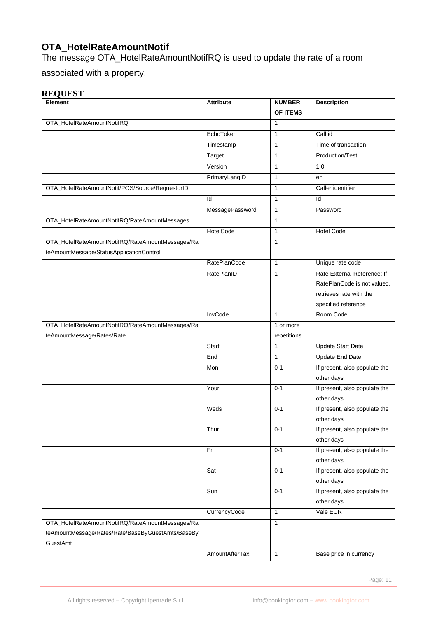#### <span id="page-10-0"></span>**OTA\_HotelRateAmountNotif**

The message OTA\_HotelRateAmountNotifRQ is used to update the rate of a room

associated with a property.

#### **REQUEST**

| <b>Element</b>                                    | <b>Attribute</b>    | <b>NUMBER</b><br><b>OF ITEMS</b> | <b>Description</b>            |
|---------------------------------------------------|---------------------|----------------------------------|-------------------------------|
| OTA_HotelRateAmountNotifRQ                        |                     | 1                                |                               |
|                                                   | EchoToken           | $\mathbf{1}$                     | Call id                       |
|                                                   | Timestamp           | $\mathbf{1}$                     | Time of transaction           |
|                                                   | Target              | $\mathbf{1}$                     | Production/Test               |
|                                                   | Version             | $\mathbf{1}$                     | 1.0                           |
|                                                   | PrimaryLangID       | $\mathbf{1}$                     | en                            |
| OTA_HotelRateAmountNotif/POS/Source/RequestorID   |                     | $\mathbf{1}$                     | Caller identifier             |
|                                                   | $\overline{d}$      | $\mathbf{1}$                     | Id                            |
|                                                   | MessagePassword     | $\mathbf{1}$                     | Password                      |
| OTA_HotelRateAmountNotifRQ/RateAmountMessages     |                     | $\mathbf{1}$                     |                               |
|                                                   | <b>HotelCode</b>    | $\mathbf{1}$                     | <b>Hotel Code</b>             |
| OTA_HotelRateAmountNotifRQ/RateAmountMessages/Ra  |                     | $\mathbf{1}$                     |                               |
| teAmountMessage/StatusApplicationControl          |                     |                                  |                               |
|                                                   | <b>RatePlanCode</b> | $\mathbf{1}$                     | Unique rate code              |
|                                                   | RatePlanID          | $\mathbf{1}$                     | Rate External Reference: If   |
|                                                   |                     |                                  | RatePlanCode is not valued,   |
|                                                   |                     |                                  | retrieves rate with the       |
|                                                   |                     |                                  | specified reference           |
|                                                   | InvCode             | $\mathbf{1}$                     | Room Code                     |
| OTA_HotelRateAmountNotifRQ/RateAmountMessages/Ra  |                     | 1 or more                        |                               |
| teAmountMessage/Rates/Rate                        |                     | repetitions                      |                               |
|                                                   | Start               | $\mathbf{1}$                     | <b>Update Start Date</b>      |
|                                                   | End                 | $\mathbf{1}$                     | <b>Update End Date</b>        |
|                                                   | Mon                 | $0 - 1$                          | If present, also populate the |
|                                                   |                     |                                  | other days                    |
|                                                   | Your                | $0 - 1$                          | If present, also populate the |
|                                                   |                     |                                  | other days                    |
|                                                   | Weds                | $0 - 1$                          | If present, also populate the |
|                                                   |                     |                                  | other days                    |
|                                                   | Thur                | $0 - 1$                          | If present, also populate the |
|                                                   |                     |                                  | other days                    |
|                                                   | Fri                 | $0 - 1$                          | If present, also populate the |
|                                                   |                     |                                  | other days                    |
|                                                   | Sat                 | $0 - 1$                          | If present, also populate the |
|                                                   |                     |                                  | other days                    |
|                                                   | Sun                 | $0 - 1$                          | If present, also populate the |
|                                                   |                     |                                  | other days                    |
|                                                   | CurrencyCode        | $\mathbf{1}$                     | Vale EUR                      |
| OTA_HotelRateAmountNotifRQ/RateAmountMessages/Ra  |                     | $\mathbf{1}$                     |                               |
| teAmountMessage/Rates/Rate/BaseByGuestAmts/BaseBy |                     |                                  |                               |
| GuestAmt                                          |                     |                                  |                               |
|                                                   | AmountAfterTax      | $\mathbf{1}$                     | Base price in currency        |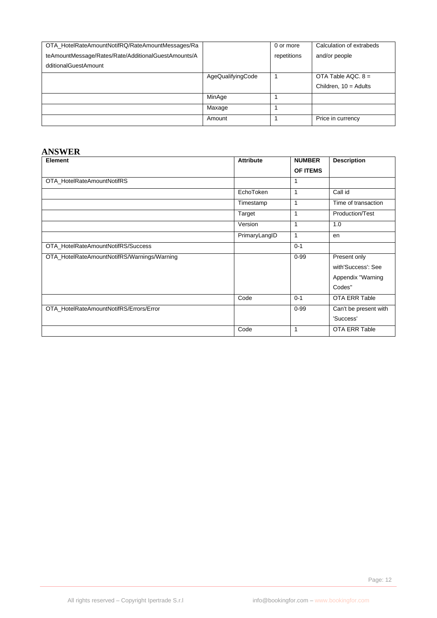| OTA_HotelRateAmountNotifRQ/RateAmountMessages/Ra    |                   | 0 or more   | Calculation of extrabeds |
|-----------------------------------------------------|-------------------|-------------|--------------------------|
| teAmountMessage/Rates/Rate/AdditionalGuestAmounts/A |                   | repetitions | and/or people            |
| dditionalGuestAmount                                |                   |             |                          |
|                                                     | AgeQualifyingCode |             | OTA Table AQC, $8 =$     |
|                                                     |                   |             | Children, $10 =$ Adults  |
|                                                     | MinAge            |             |                          |
|                                                     | Maxage            |             |                          |
|                                                     | Amount            |             | Price in currency        |

| Element                                     | <b>Attribute</b> | <b>NUMBER</b> | <b>Description</b>    |
|---------------------------------------------|------------------|---------------|-----------------------|
|                                             |                  | OF ITEMS      |                       |
| OTA_HotelRateAmountNotifRS                  |                  | 1             |                       |
|                                             | EchoToken        | 1             | Call id               |
|                                             | Timestamp        | 1             | Time of transaction   |
|                                             | Target           | $\mathbf{1}$  | Production/Test       |
|                                             | Version          | $\mathbf{1}$  | 1.0                   |
|                                             | PrimaryLangID    | $\mathbf{1}$  | en                    |
| OTA_HotelRateAmountNotifRS/Success          |                  | $0 - 1$       |                       |
| OTA_HotelRateAmountNotifRS/Warnings/Warning |                  | $0 - 99$      | Present only          |
|                                             |                  |               | with'Success': See    |
|                                             |                  |               | Appendix "Warning     |
|                                             |                  |               | Codes"                |
|                                             | Code             | $0 - 1$       | OTA ERR Table         |
| OTA_HotelRateAmountNotifRS/Errors/Error     |                  | $0 - 99$      | Can't be present with |
|                                             |                  |               | 'Success'             |
|                                             | Code             | 1             | OTA ERR Table         |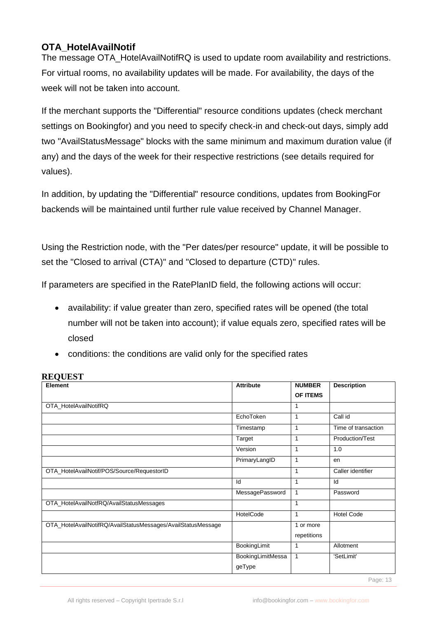#### <span id="page-12-0"></span>**OTA\_HotelAvailNotif**

The message OTA\_HotelAvailNotifRQ is used to update room availability and restrictions. For virtual rooms, no availability updates will be made. For availability, the days of the week will not be taken into account.

If the merchant supports the "Differential" resource conditions updates (check merchant settings on Bookingfor) and you need to specify check-in and check-out days, simply add two "AvailStatusMessage" blocks with the same minimum and maximum duration value (if any) and the days of the week for their respective restrictions (see details required for values).

In addition, by updating the "Differential" resource conditions, updates from BookingFor backends will be maintained until further rule value received by Channel Manager.

Using the Restriction node, with the "Per dates/per resource" update, it will be possible to set the "Closed to arrival (CTA)" and "Closed to departure (CTD)" rules.

If parameters are specified in the RatePlanID field, the following actions will occur:

- availability: if value greater than zero, specified rates will be opened (the total number will not be taken into account); if value equals zero, specified rates will be closed
- conditions: the conditions are valid only for the specified rates

| Element                                                      | <b>Attribute</b>  | <b>NUMBER</b> | <b>Description</b>  |
|--------------------------------------------------------------|-------------------|---------------|---------------------|
|                                                              |                   | OF ITEMS      |                     |
| OTA_HotelAvailNotifRQ                                        |                   | 1             |                     |
|                                                              | EchoToken         | 1             | Call id             |
|                                                              | Timestamp         | 1             | Time of transaction |
|                                                              | Target            | 1             | Production/Test     |
|                                                              | Version           | 1             | 1.0                 |
|                                                              | PrimaryLangID     | 1             | en                  |
| OTA_HotelAvailNotif/POS/Source/RequestorID                   |                   | 1             | Caller identifier   |
|                                                              | Id                | 1             | Id                  |
|                                                              | MessagePassword   | 1             | Password            |
| OTA_HotelAvailNotfRQ/AvailStatusMessages                     |                   |               |                     |
|                                                              | HotelCode         | 1             | <b>Hotel Code</b>   |
| OTA_HotelAvailNotifRQ/AvailStatusMessages/AvailStatusMessage |                   | 1 or more     |                     |
|                                                              |                   | repetitions   |                     |
|                                                              | BookingLimit      | 1             | Allotment           |
|                                                              | BookingLimitMessa | 1             | 'SetLimit'          |
|                                                              | geType            |               |                     |

#### **REQUEST**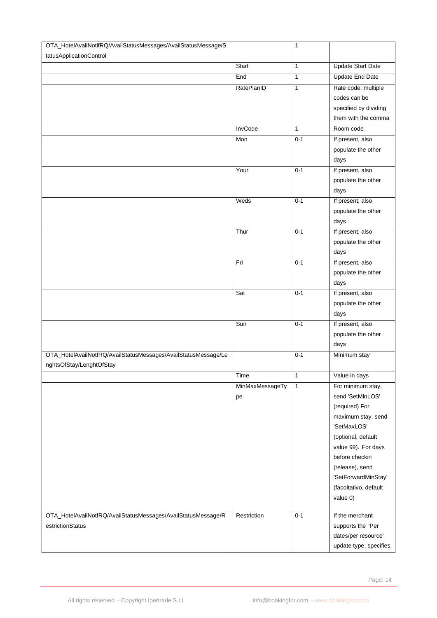| OTA_HotelAvailNotifRQ/AvailStatusMessages/AvailStatusMessage/S |                 | $\mathbf{1}$ |                          |
|----------------------------------------------------------------|-----------------|--------------|--------------------------|
| tatusApplicationControl                                        |                 |              |                          |
|                                                                | Start           | $\mathbf{1}$ | <b>Update Start Date</b> |
|                                                                | End             | $\mathbf{1}$ | <b>Update End Date</b>   |
|                                                                | RatePlanID      | $\mathbf{1}$ | Rate code: multiple      |
|                                                                |                 |              | codes can be             |
|                                                                |                 |              | specified by dividing    |
|                                                                |                 |              | them with the comma      |
|                                                                | InvCode         | $\mathbf{1}$ | Room code                |
|                                                                | Mon             | $0 - 1$      | If present, also         |
|                                                                |                 |              | populate the other       |
|                                                                |                 |              | days                     |
|                                                                | Your            | $0 - 1$      | If present, also         |
|                                                                |                 |              | populate the other       |
|                                                                |                 |              | days                     |
|                                                                | Weds            | $0 - 1$      | If present, also         |
|                                                                |                 |              | populate the other       |
|                                                                |                 |              | days                     |
|                                                                | Thur            | $0 - 1$      | If present, also         |
|                                                                |                 |              | populate the other       |
|                                                                |                 |              | days                     |
|                                                                | Fri             | $0 - 1$      | If present, also         |
|                                                                |                 |              | populate the other       |
|                                                                |                 |              | days                     |
|                                                                | Sat             | $0 - 1$      | If present, also         |
|                                                                |                 |              | populate the other       |
|                                                                |                 |              | days                     |
|                                                                | Sun             | $0 - 1$      | If present, also         |
|                                                                |                 |              | populate the other       |
|                                                                |                 |              | days                     |
| OTA_HotelAvailNotfRQ/AvailStatusMessages/AvailStatusMessage/Le |                 | $0 - 1$      | Minimum stay             |
| nghtsOfStay/LenghtOfStay                                       |                 |              |                          |
|                                                                | Time            | $\mathbf{1}$ | Value in days            |
|                                                                | MinMaxMessageTy | $\mathbf{1}$ | For minimum stay,        |
|                                                                | pe              |              | send 'SetMinLOS'         |
|                                                                |                 |              | (required) For           |
|                                                                |                 |              | maximum stay, send       |
|                                                                |                 |              | 'SetMaxLOS'              |
|                                                                |                 |              | (optional, default       |
|                                                                |                 |              | value 99). For days      |
|                                                                |                 |              | before checkin           |
|                                                                |                 |              | (release), send          |
|                                                                |                 |              | 'SetForwardMinStay'      |
|                                                                |                 |              | (facoltativo, default    |
|                                                                |                 |              | value 0)                 |
| OTA_HotelAvailNotfRQ/AvailStatusMessages/AvailStatusMessage/R  | Restriction     | $0 - 1$      | If the merchant          |
| estrictionStatus                                               |                 |              | supports the "Per        |
|                                                                |                 |              | dates/per resource"      |
|                                                                |                 |              | update type, specifies   |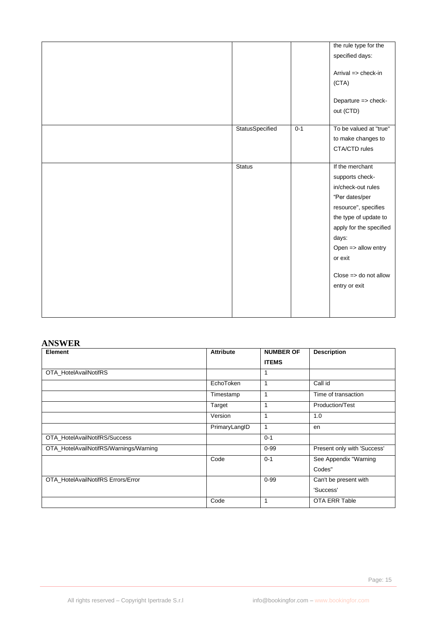|                 |         | the rule type for the            |
|-----------------|---------|----------------------------------|
|                 |         | specified days:                  |
|                 |         |                                  |
|                 |         | Arrival => check-in              |
|                 |         | (CTA)                            |
|                 |         |                                  |
|                 |         | Departure => check-              |
|                 |         | out (CTD)                        |
| StatusSpecified | $0 - 1$ | To be valued at "true"           |
|                 |         | to make changes to               |
|                 |         | CTA/CTD rules                    |
|                 |         |                                  |
| <b>Status</b>   |         | If the merchant                  |
|                 |         | supports check-                  |
|                 |         | in/check-out rules               |
|                 |         | "Per dates/per                   |
|                 |         | resource", specifies             |
|                 |         | the type of update to            |
|                 |         | apply for the specified          |
|                 |         | days:                            |
|                 |         | Open $\Rightarrow$ allow entry   |
|                 |         | or exit                          |
|                 |         |                                  |
|                 |         | Close $\Rightarrow$ do not allow |
|                 |         | entry or exit                    |
|                 |         |                                  |
|                 |         |                                  |
|                 |         |                                  |

| Element                                | <b>Attribute</b> | <b>NUMBER OF</b> | <b>Description</b>          |
|----------------------------------------|------------------|------------------|-----------------------------|
|                                        |                  | <b>ITEMS</b>     |                             |
| OTA HotelAvailNotifRS                  |                  |                  |                             |
|                                        | EchoToken        | 1                | Call id                     |
|                                        | Timestamp        | 1                | Time of transaction         |
|                                        | Target           | 1                | Production/Test             |
|                                        | Version          | 1                | 1.0                         |
|                                        | PrimaryLangID    | $\overline{1}$   | en                          |
| OTA_HotelAvailNotifRS/Success          |                  | $0 - 1$          |                             |
| OTA_HotelAvailNotifRS/Warnings/Warning |                  | $0 - 99$         | Present only with 'Success' |
|                                        | Code             | $0 - 1$          | See Appendix "Warning       |
|                                        |                  |                  | Codes"                      |
| OTA HotelAvailNotifRS Errors/Error     |                  | $0 - 99$         | Can't be present with       |
|                                        |                  |                  | 'Success'                   |
|                                        | Code             | 1                | OTA ERR Table               |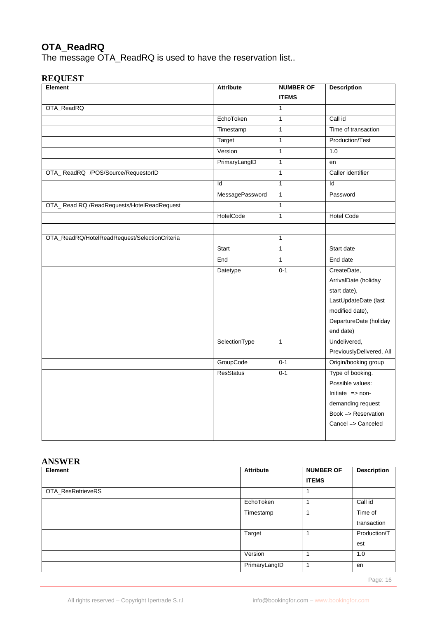### <span id="page-15-0"></span>**OTA\_ReadRQ**

The message OTA\_ReadRQ is used to have the reservation list..

| ີ້<br><b>Element</b>                          | <b>Attribute</b> | <b>NUMBER OF</b> | <b>Description</b>       |
|-----------------------------------------------|------------------|------------------|--------------------------|
|                                               |                  | <b>ITEMS</b>     |                          |
| OTA_ReadRQ                                    |                  | $\mathbf{1}$     |                          |
|                                               | EchoToken        | $\mathbf{1}$     | Call id                  |
|                                               | Timestamp        | $\mathbf{1}$     | Time of transaction      |
|                                               | Target           | $\mathbf{1}$     | Production/Test          |
|                                               | Version          | $\mathbf{1}$     | 1.0                      |
|                                               | PrimaryLangID    | $\overline{1}$   | en                       |
| OTA_ReadRQ /POS/Source/RequestorID            |                  | $\mathbf{1}$     | Caller identifier        |
|                                               | Id               | $\mathbf{1}$     | Id                       |
|                                               | MessagePassword  | $\mathbf{1}$     | Password                 |
| OTA_Read RQ /ReadRequests/HotelReadRequest    |                  | $\mathbf{1}$     |                          |
|                                               | HotelCode        | $\mathbf{1}$     | <b>Hotel Code</b>        |
|                                               |                  |                  |                          |
| OTA_ReadRQ/HotelReadRequest/SelectionCriteria |                  | $\mathbf{1}$     |                          |
|                                               | Start            | $\mathbf{1}$     | Start date               |
|                                               | End              | $\mathbf{1}$     | End date                 |
|                                               | Datetype         | $0 - 1$          | CreateDate,              |
|                                               |                  |                  | ArrivalDate (holiday     |
|                                               |                  |                  | start date),             |
|                                               |                  |                  | LastUpdateDate (last     |
|                                               |                  |                  | modified date),          |
|                                               |                  |                  | DepartureDate (holiday   |
|                                               |                  |                  | end date)                |
|                                               | SelectionType    | $\mathbf{1}$     | Undelivered,             |
|                                               |                  |                  | PreviouslyDelivered, All |
|                                               | GroupCode        | $0 - 1$          | Origin/booking group     |
|                                               | <b>ResStatus</b> | $0 - 1$          | Type of booking.         |
|                                               |                  |                  | Possible values:         |
|                                               |                  |                  | $Initiate == non-$       |
|                                               |                  |                  | demanding request        |
|                                               |                  |                  | Book => Reservation      |
|                                               |                  |                  | Cancel => Canceled       |
|                                               |                  |                  |                          |

| Element           | <b>Attribute</b> | <b>NUMBER OF</b><br><b>ITEMS</b> | <b>Description</b>     |
|-------------------|------------------|----------------------------------|------------------------|
| OTA_ResRetrieveRS |                  |                                  |                        |
|                   | EchoToken        |                                  | Call id                |
|                   | Timestamp        |                                  | Time of<br>transaction |
|                   | Target           |                                  | Production/T<br>est    |
|                   | Version          |                                  | 1.0                    |
|                   | PrimaryLangID    |                                  | en                     |

Page: 16 April 2014 12:30 April 2014 12:30 April 2014 12:30 April 2014 12:30 April 2014 12:30 April 2014 12:30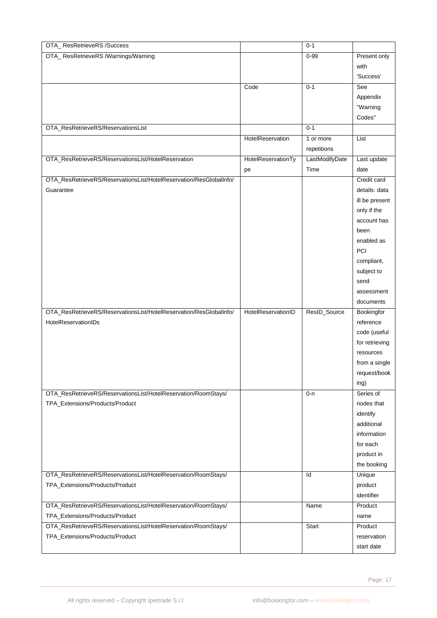| OTA_ResRetrieveRS /Success                                         |                    | $0 - 1$        |                |
|--------------------------------------------------------------------|--------------------|----------------|----------------|
| OTA_ResRetrieveRS /Warnings/Warning                                |                    | $0 - 99$       | Present only   |
|                                                                    |                    |                | with           |
|                                                                    |                    |                | 'Success'      |
|                                                                    | Code               | $0 - 1$        | See            |
|                                                                    |                    |                | Appendix       |
|                                                                    |                    |                | "Warning       |
|                                                                    |                    |                | Codes"         |
| OTA_ResRetrieveRS/ReservationsList                                 |                    | $0 - 1$        |                |
|                                                                    | HotelReservation   | 1 or more      | List           |
|                                                                    |                    | repetitions    |                |
| OTA_ResRetrieveRS/ReservationsList/HotelReservation                | HotelReservationTy | LastModifyDate | Last update    |
|                                                                    | pe                 | Time           | date           |
| OTA_ResRetrieveRS/ReservationsList/HotelReservation/ResGlobalInfo/ |                    |                | Credit card    |
| Guarantee                                                          |                    |                | details: data  |
|                                                                    |                    |                | ill be present |
|                                                                    |                    |                | only if the    |
|                                                                    |                    |                | account has    |
|                                                                    |                    |                | been           |
|                                                                    |                    |                | enabled as     |
|                                                                    |                    |                | PCI            |
|                                                                    |                    |                | compliant,     |
|                                                                    |                    |                | subject to     |
|                                                                    |                    |                | send           |
|                                                                    |                    |                | assessment     |
|                                                                    |                    |                | documents      |
| OTA_ResRetrieveRS/ReservationsList/HotelReservation/ResGlobalInfo/ | HotelReservationID | ResID_Source   | Bookingfor     |
| HotelReservationIDs                                                |                    |                | reference      |
|                                                                    |                    |                | code (useful   |
|                                                                    |                    |                | for retrieving |
|                                                                    |                    |                | resources      |
|                                                                    |                    |                | from a single  |
|                                                                    |                    |                | request/book   |
|                                                                    |                    |                | ing)           |
| OTA_ResRetrieveRS/ReservationsList/HotelReservation/RoomStays/     |                    | $0 - n$        | Series of      |
| TPA_Extensions/Products/Product                                    |                    |                | nodes that     |
|                                                                    |                    |                | identify       |
|                                                                    |                    |                | additional     |
|                                                                    |                    |                | information    |
|                                                                    |                    |                | for each       |
|                                                                    |                    |                | product in     |
|                                                                    |                    |                | the booking    |
| OTA_ResRetrieveRS/ReservationsList/HotelReservation/RoomStays/     |                    | Id             | Unique         |
| TPA_Extensions/Products/Product                                    |                    |                | product        |
|                                                                    |                    |                | identifier     |
| OTA_ResRetrieveRS/ReservationsList/HotelReservation/RoomStays/     |                    | Name           | Product        |
| TPA_Extensions/Products/Product                                    |                    |                | name           |
| OTA_ResRetrieveRS/ReservationsList/HotelReservation/RoomStays/     |                    | Start          | Product        |
| TPA_Extensions/Products/Product                                    |                    |                | reservation    |
|                                                                    |                    |                | start date     |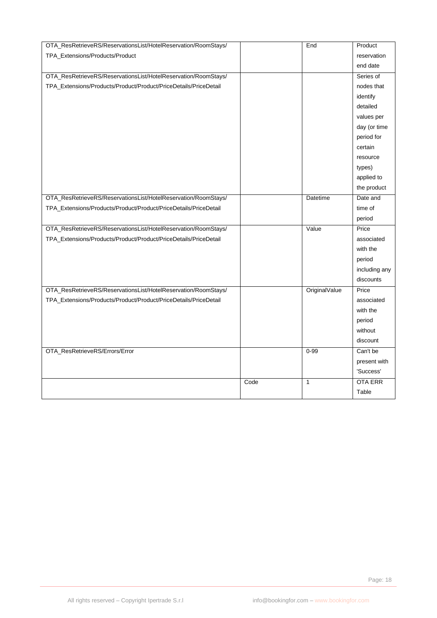| OTA_ResRetrieveRS/ReservationsList/HotelReservation/RoomStays/   |      | End           | Product        |
|------------------------------------------------------------------|------|---------------|----------------|
| TPA_Extensions/Products/Product                                  |      |               | reservation    |
|                                                                  |      |               | end date       |
| OTA_ResRetrieveRS/ReservationsList/HotelReservation/RoomStays/   |      |               | Series of      |
| TPA_Extensions/Products/Product/Product/PriceDetails/PriceDetail |      |               | nodes that     |
|                                                                  |      |               | identify       |
|                                                                  |      |               | detailed       |
|                                                                  |      |               | values per     |
|                                                                  |      |               | day (or time   |
|                                                                  |      |               | period for     |
|                                                                  |      |               | certain        |
|                                                                  |      |               | resource       |
|                                                                  |      |               | types)         |
|                                                                  |      |               | applied to     |
|                                                                  |      |               | the product    |
| OTA_ResRetrieveRS/ReservationsList/HotelReservation/RoomStays/   |      | Datetime      | Date and       |
| TPA_Extensions/Products/Product/Product/PriceDetails/PriceDetail |      |               | time of        |
|                                                                  |      |               | period         |
| OTA_ResRetrieveRS/ReservationsList/HotelReservation/RoomStays/   |      | Value         | Price          |
| TPA_Extensions/Products/Product/Product/PriceDetails/PriceDetail |      |               | associated     |
|                                                                  |      |               | with the       |
|                                                                  |      |               | period         |
|                                                                  |      |               | including any  |
|                                                                  |      |               | discounts      |
| OTA_ResRetrieveRS/ReservationsList/HotelReservation/RoomStays/   |      | OriginalValue | Price          |
| TPA_Extensions/Products/Product/Product/PriceDetails/PriceDetail |      |               | associated     |
|                                                                  |      |               | with the       |
|                                                                  |      |               | period         |
|                                                                  |      |               | without        |
|                                                                  |      |               | discount       |
| OTA_ResRetrieveRS/Errors/Error                                   |      | $0 - 99$      | Can't be       |
|                                                                  |      |               | present with   |
|                                                                  |      |               | 'Success'      |
|                                                                  | Code | $\mathbf{1}$  | <b>OTA ERR</b> |
|                                                                  |      |               | Table          |
|                                                                  |      |               |                |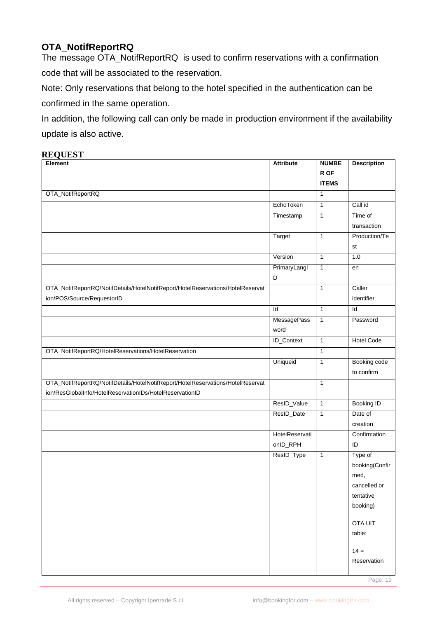#### <span id="page-18-0"></span>**OTA\_NotifReportRQ**

The message OTA\_NotifReportRQ is used to confirm reservations with a confirmation code that will be associated to the reservation.

Note: Only reservations that belong to the hotel specified in the authentication can be confirmed in the same operation.

In addition, the following call can only be made in production environment if the availability update is also active.

#### **REQUEST**

| Element                                                                         | <b>Attribute</b>  | <b>NUMBE</b> | <b>Description</b> |
|---------------------------------------------------------------------------------|-------------------|--------------|--------------------|
|                                                                                 |                   | R OF         |                    |
|                                                                                 |                   | <b>ITEMS</b> |                    |
| OTA_NotifReportRQ                                                               |                   | $\mathbf{1}$ |                    |
|                                                                                 | EchoToken         | $\mathbf{1}$ | Call id            |
|                                                                                 | Timestamp         | $\mathbf{1}$ | Time of            |
|                                                                                 |                   |              | transaction        |
|                                                                                 | Target            | $\mathbf{1}$ | Production/Te      |
|                                                                                 |                   |              | st                 |
|                                                                                 | Version           | $\mathbf{1}$ | 1.0                |
|                                                                                 | PrimaryLangl      | $\mathbf{1}$ | en                 |
|                                                                                 | D                 |              |                    |
| OTA_NotifReportRQ/NotifDetails/HotelNotifReport/HotelReservations/HotelReservat |                   | $\mathbf{1}$ | Caller             |
| ion/POS/Source/RequestorID                                                      |                   |              | identifier         |
|                                                                                 | Id                | $\mathbf{1}$ | Id                 |
|                                                                                 | MessagePass       | $\mathbf{1}$ | Password           |
|                                                                                 | word              |              |                    |
|                                                                                 | <b>ID_Context</b> | $\mathbf{1}$ | <b>Hotel Code</b>  |
| OTA_NotifReportRQ/HotelReservations/HotelReservation                            |                   | $\mathbf{1}$ |                    |
|                                                                                 | Uniqueid          | $\mathbf{1}$ | Booking code       |
|                                                                                 |                   |              | to confirm         |
| OTA_NotifReportRQ/NotifDetails/HotelNotifReport/HotelReservations/HotelReservat |                   | $\mathbf{1}$ |                    |
| ion/ResGlobalInfo/HotelReservationIDs/HotelReservationID                        |                   |              |                    |
|                                                                                 | ResID_Value       | $\mathbf{1}$ | <b>Booking ID</b>  |
|                                                                                 | ResID_Date        | $\mathbf{1}$ | Date of            |
|                                                                                 |                   |              | creation           |
|                                                                                 | HotelReservati    |              | Confirmation       |
|                                                                                 | onID_RPH          |              | ID                 |
|                                                                                 | ResID_Type        | $\mathbf{1}$ | Type of            |
|                                                                                 |                   |              | booking(Confir     |
|                                                                                 |                   |              | med,               |
|                                                                                 |                   |              | cancelled or       |
|                                                                                 |                   |              | tentative          |
|                                                                                 |                   |              | booking)           |
|                                                                                 |                   |              | <b>OTA UIT</b>     |
|                                                                                 |                   |              | table:             |
|                                                                                 |                   |              |                    |
|                                                                                 |                   |              | $14 =$             |
|                                                                                 |                   |              | Reservation        |
|                                                                                 |                   |              |                    |

Page: 19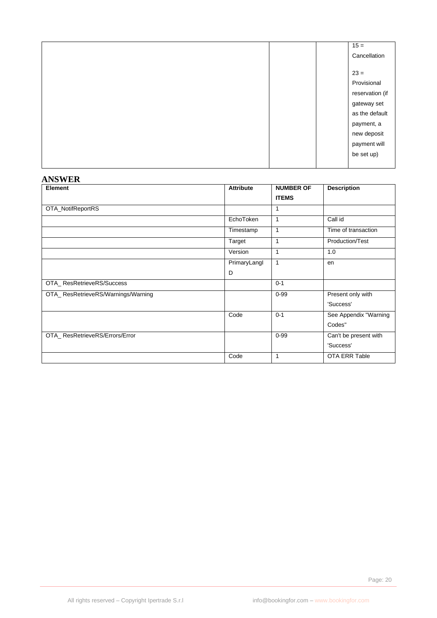|  | $15 =$          |
|--|-----------------|
|  | Cancellation    |
|  |                 |
|  | $23 =$          |
|  | Provisional     |
|  | reservation (if |
|  | gateway set     |
|  | as the default  |
|  | payment, a      |
|  | new deposit     |
|  | payment will    |
|  | be set up)      |
|  |                 |

| Element                            | <b>Attribute</b> | <b>NUMBER OF</b><br><b>ITEMS</b> | <b>Description</b>    |
|------------------------------------|------------------|----------------------------------|-----------------------|
| OTA_NotifReportRS                  |                  | 1                                |                       |
|                                    | EchoToken        | 1                                | Call id               |
|                                    | Timestamp        | 1                                | Time of transaction   |
|                                    | Target           | 1                                | Production/Test       |
|                                    | Version          | 1                                | 1.0                   |
|                                    | PrimaryLangl     | $\mathbf{1}$                     | en                    |
|                                    | D                |                                  |                       |
| OTA_ResRetrieveRS/Success          |                  | $0 - 1$                          |                       |
| OTA_ResRetrieveRS/Warnings/Warning |                  | $0 - 99$                         | Present only with     |
|                                    |                  |                                  | 'Success'             |
|                                    | Code             | $0 - 1$                          | See Appendix "Warning |
|                                    |                  |                                  | Codes"                |
| OTA_ResRetrieveRS/Errors/Error     |                  | $0 - 99$                         | Can't be present with |
|                                    |                  |                                  | 'Success'             |
|                                    | Code             | 1                                | OTA ERR Table         |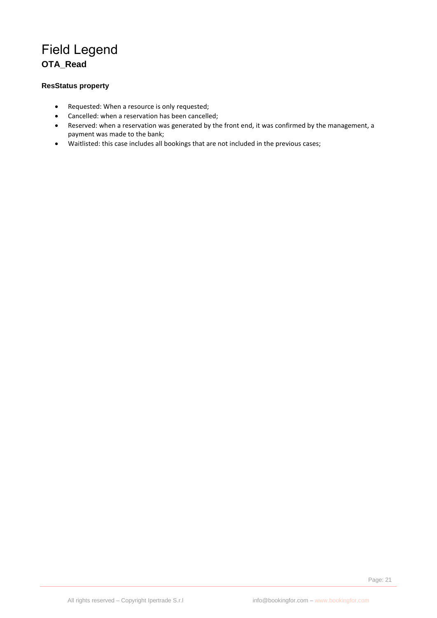# <span id="page-20-0"></span>Field Legend **OTA\_Read**

#### **ResStatus property**

- Requested: When a resource is only requested;
- Cancelled: when a reservation has been cancelled;
- Reserved: when a reservation was generated by the front end, it was confirmed by the management, a payment was made to the bank;
- Waitlisted: this case includes all bookings that are not included in the previous cases;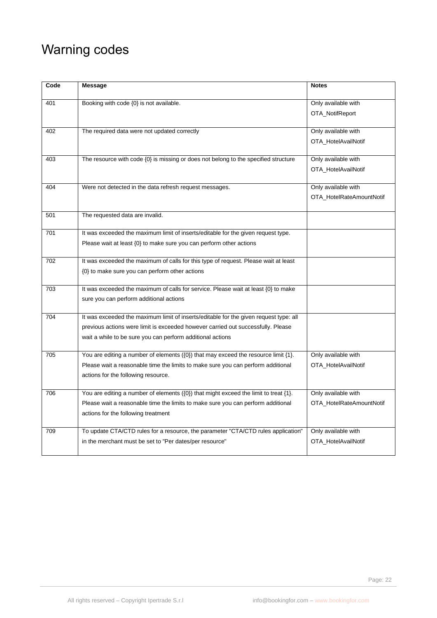# <span id="page-21-0"></span>Warning codes

| Code | <b>Message</b>                                                                                                                                                                                                                          | <b>Notes</b>                                    |
|------|-----------------------------------------------------------------------------------------------------------------------------------------------------------------------------------------------------------------------------------------|-------------------------------------------------|
| 401  | Booking with code {0} is not available.                                                                                                                                                                                                 | Only available with<br>OTA_NotifReport          |
| 402  | The required data were not updated correctly                                                                                                                                                                                            | Only available with<br>OTA_HotelAvailNotif      |
| 403  | The resource with code {0} is missing or does not belong to the specified structure                                                                                                                                                     | Only available with<br>OTA_HotelAvailNotif      |
| 404  | Were not detected in the data refresh request messages.                                                                                                                                                                                 | Only available with<br>OTA_HotelRateAmountNotif |
| 501  | The requested data are invalid.                                                                                                                                                                                                         |                                                 |
| 701  | It was exceeded the maximum limit of inserts/editable for the given request type.<br>Please wait at least {0} to make sure you can perform other actions                                                                                |                                                 |
| 702  | It was exceeded the maximum of calls for this type of request. Please wait at least<br>{0} to make sure you can perform other actions                                                                                                   |                                                 |
| 703  | It was exceeded the maximum of calls for service. Please wait at least {0} to make<br>sure you can perform additional actions                                                                                                           |                                                 |
| 704  | It was exceeded the maximum limit of inserts/editable for the given request type: all<br>previous actions were limit is exceeded however carried out successfully. Please<br>wait a while to be sure you can perform additional actions |                                                 |
| 705  | You are editing a number of elements $(0)$ that may exceed the resource limit $\{1\}$ .<br>Please wait a reasonable time the limits to make sure you can perform additional<br>actions for the following resource.                      | Only available with<br>OTA_HotelAvailNotif      |
| 706  | You are editing a number of elements ({0}) that might exceed the limit to treat {1}.<br>Please wait a reasonable time the limits to make sure you can perform additional<br>actions for the following treatment                         | Only available with<br>OTA_HotelRateAmountNotif |
| 709  | To update CTA/CTD rules for a resource, the parameter "CTA/CTD rules application"<br>in the merchant must be set to "Per dates/per resource"                                                                                            | Only available with<br>OTA_HotelAvailNotif      |